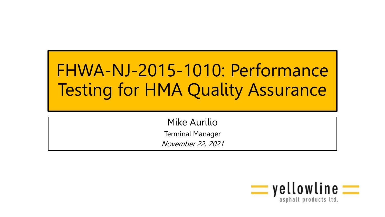## FHWA-NJ-2015-1010: Performance Testing for HMA Quality Assurance

Mike Aurilio Terminal Manager November 22, 2021

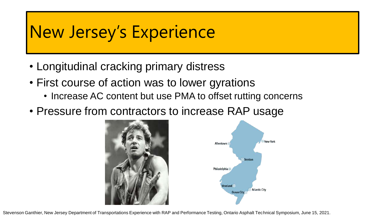#### New Jersey's Experience

- Longitudinal cracking primary distress
- First course of action was to lower gyrations
	- Increase AC content but use PMA to offset rutting concerns
- Pressure from contractors to increase RAP usage





Stevenson Ganthier, New Jersey Department of Transportations Experience with RAP and Performance Testing, Ontario Asphalt Technical Symposium, June 15, 2021.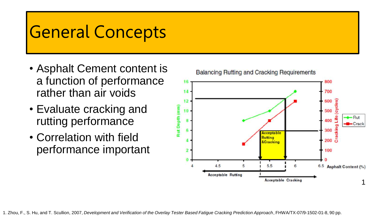#### General Concepts

- Asphalt Cement content is a function of performance rather than air voids
- Evaluate cracking and rutting performance
- Correlation with field performance important

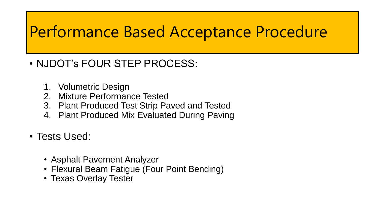#### Performance Based Acceptance Procedure

- NJDOT's FOUR STEP PROCESS:
	- 1. Volumetric Design
	- 2. Mixture Performance Tested
	- 3. Plant Produced Test Strip Paved and Tested
	- 4. Plant Produced Mix Evaluated During Paving
- Tests Used:
	- Asphalt Pavement Analyzer
	- Flexural Beam Fatigue (Four Point Bending)
	- Texas Overlay Tester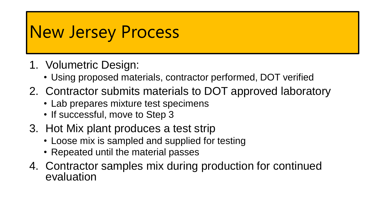#### New Jersey Process

- 1. Volumetric Design:
	- Using proposed materials, contractor performed, DOT verified
- 2. Contractor submits materials to DOT approved laboratory
	- Lab prepares mixture test specimens
	- If successful, move to Step 3
- 3. Hot Mix plant produces a test strip
	- Loose mix is sampled and supplied for testing
	- Repeated until the material passes
- 4. Contractor samples mix during production for continued evaluation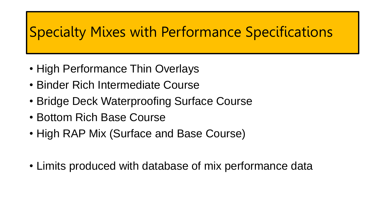#### Specialty Mixes with Performance Specifications

- High Performance Thin Overlays
- Binder Rich Intermediate Course
- Bridge Deck Waterproofing Surface Course
- Bottom Rich Base Course
- High RAP Mix (Surface and Base Course)
- Limits produced with database of mix performance data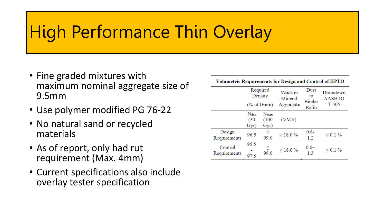### High Performance Thin Overlay

- Fine graded mixtures with maximum nominal aggregate size of 9.5mm
- Use polymer modified PG 76-22
- No natural sand or recycled materials
- As of report, only had rut requirement (Max. 4mm)
- Current specifications also include overlay tester specification

| Volumetric Requirements for Design and Control of HPTO |                                  |                               |                     |                      |                            |  |  |
|--------------------------------------------------------|----------------------------------|-------------------------------|---------------------|----------------------|----------------------------|--|--|
|                                                        | Required<br>Density              |                               | Voids in<br>Mineral | Dust<br>to<br>Binder | Draindown<br><b>AASHTO</b> |  |  |
|                                                        |                                  | $(% \mathcal{L}_{0})$ of Gmm) | Aggregate           | Ratio                | T 305                      |  |  |
|                                                        | $N_{\text{des}}$<br>(50)<br>Gyr) | $N_{max}$<br>(100)<br>Gyr)    | (VMA)               |                      |                            |  |  |
| Design<br>Requirements                                 | 96.5                             | ≤<br>99.0                     | $>$ 18.0%           | $0.6 -$<br>1.2       | $\leq 0.1 \%$              |  |  |
| Control<br>Requirements                                | 95.5<br>97.5                     | ≤<br>99.0                     | >18.0%              | $0.6 -$<br>1.3       | $0.1\%$                    |  |  |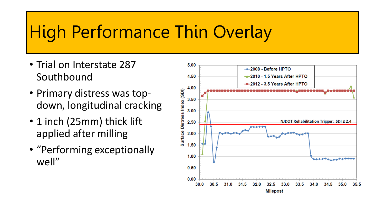### High Performance Thin Overlay

- Trial on Interstate 287 Southbound
- Primary distress was topdown, longitudinal cracking
- 1 inch (25mm) thick lift applied after milling
- "Performing exceptionally well"

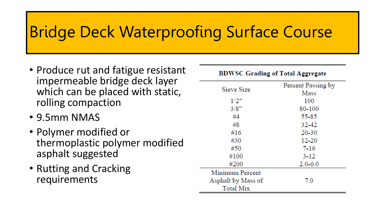#### Bridge Deck Waterproofing Surface Course

- Produce rut and fatigue resistant impermeable bridge deck layer which can be placed with static, rolling compaction
- 9.5mm NMAS
- Polymer modified or thermoplastic polymer modified asphalt suggested
- Rutting and Cracking requirements

| <b>BDWSC Grading of Total Aggregate</b> |                    |  |  |  |
|-----------------------------------------|--------------------|--|--|--|
|                                         | Percent Passing by |  |  |  |
| Sieve Size                              | Mass               |  |  |  |
| 1/2"                                    | 100                |  |  |  |
| 3/8"                                    | 80-100             |  |  |  |
| #4                                      | 55-85              |  |  |  |
| #8                                      | 32-42              |  |  |  |
| #16                                     | 20-30              |  |  |  |
| #30                                     | 12-20              |  |  |  |
| #50                                     | $7 - 16$           |  |  |  |
| #100                                    | 3-12               |  |  |  |
| #200                                    | $2.0 - 6.0$        |  |  |  |
| Minimum Percent                         |                    |  |  |  |
| Asphalt by Mass of                      | 7.0                |  |  |  |
| <b>Total Mix</b>                        |                    |  |  |  |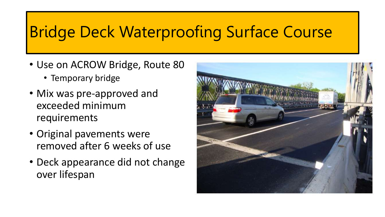#### Bridge Deck Waterproofing Surface Course

- Use on ACROW Bridge, Route 80
	- Temporary bridge
- Mix was pre-approved and exceeded minimum requirements
- Original pavements were removed after 6 weeks of use
- Deck appearance did not change over lifespan

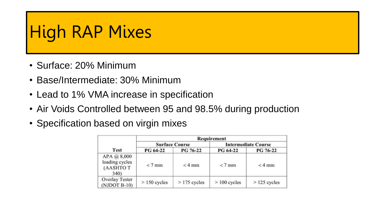### High RAP Mixes

- Surface: 20% Minimum
- Base/Intermediate: 30% Minimum
- Lead to 1% VMA increase in specification
- Air Voids Controlled between 95 and 98.5% during production
- Specification based on virgin mixes

|                                                   | Requirement    |                       |                            |                |  |  |
|---------------------------------------------------|----------------|-----------------------|----------------------------|----------------|--|--|
| <b>Test</b>                                       |                | <b>Surface Course</b> | <b>Intermediate Course</b> |                |  |  |
|                                                   | PG 64-22       | PG 76-22              | PG 64-22                   | PG 76-22       |  |  |
| APA @ 8,000<br>loading cycles<br>(AASHTOT<br>340) | $< 7$ mm       | $<$ 4 mm              | $< 7$ mm                   | $<$ 4 mm       |  |  |
| Overlay Tester<br>$(NJDOT B-10)$                  | $> 150$ cycles | $>175$ cycles         | $> 100$ cycles             | $>$ 125 cycles |  |  |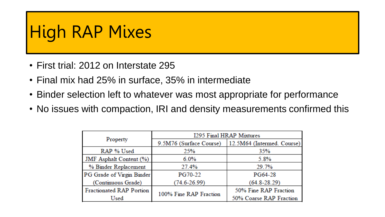### High RAP Mixes

- First trial: 2012 on Interstate 295
- Final mix had 25% in surface, 35% in intermediate
- Binder selection left to whatever was most appropriate for performance
- No issues with compaction, IRI and density measurements confirmed this

|                                 | 1295 Final HRAP Mixtures |                            |  |  |
|---------------------------------|--------------------------|----------------------------|--|--|
| Property                        | 9.5M76 (Surface Course)  | 12.5M64 (Intermed. Course) |  |  |
| RAP % Used                      | 25%                      | 35%                        |  |  |
| JMF Asphalt Content (%)         | $6.0\%$                  | 5.8%                       |  |  |
| % Binder Replacement            | 27.4%                    | 29.7%                      |  |  |
| PG Grade of Virgin Binder       | <b>PG70-22</b>           | PG64-28                    |  |  |
| (Continuous Grade)              | $(74.6 - 26.99)$         | $(64.8 - 28.29)$           |  |  |
| <b>Fractionated RAP Portion</b> |                          | 50% Fine RAP Fraction      |  |  |
| Used                            | 100% Fine RAP Fraction   | 50% Coarse RAP Fraction    |  |  |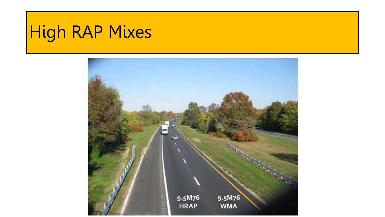# High RAP Mixes

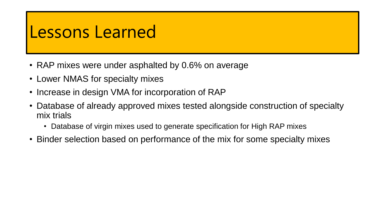#### Lessons Learned

- RAP mixes were under asphalted by 0.6% on average
- Lower NMAS for specialty mixes
- Increase in design VMA for incorporation of RAP
- Database of already approved mixes tested alongside construction of specialty mix trials
	- Database of virgin mixes used to generate specification for High RAP mixes
- Binder selection based on performance of the mix for some specialty mixes